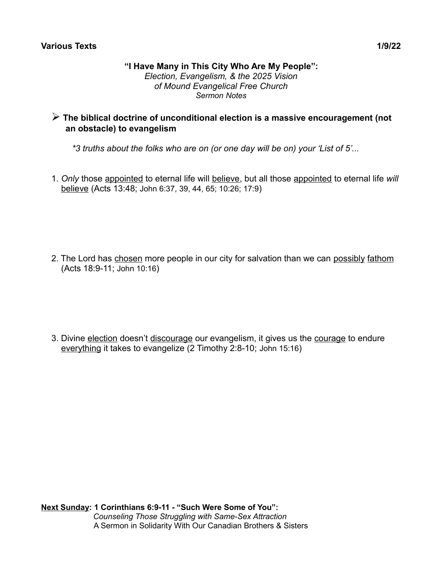#### **Various Texts 1/9/22**

#### **"I Have Many in This City Who Are My People":** *Election, Evangelism, & the 2025 Vision of Mound Evangelical Free Church Sermon Notes*

# ➢ **The biblical doctrine of unconditional election is a massive encouragement (not an obstacle) to evangelism**

*\*3 truths about the folks who are on (or one day will be on) your 'List of 5'...*

1. *Only* those appointed to eternal life will believe, but all those appointed to eternal life *will* believe (Acts 13:48; John 6:37, 39, 44, 65; 10:26; 17:9)

2. The Lord has chosen more people in our city for salvation than we can possibly fathom (Acts 18:9-11; John 10:16)

3. Divine election doesn't discourage our evangelism, it gives us the courage to endure everything it takes to evangelize (2 Timothy 2:8-10; John 15:16)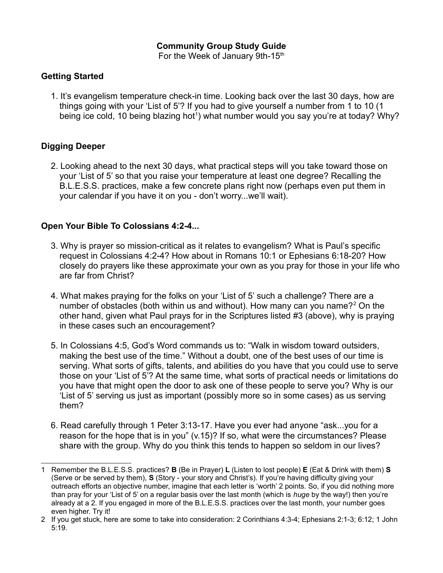### **Community Group Study Guide**

For the Week of January 9th-15<sup>th</sup>

### **Getting Started**

1. It's evangelism temperature check-in time. Looking back over the last 30 days, how are things going with your 'List of 5'? If you had to give yourself a number from 1 to 10 (1 being ice cold, [1](#page-1-0)0 being blazing hot<sup>1</sup>) what number would you say you're at today? Why?

# **Digging Deeper**

2. Looking ahead to the next 30 days, what practical steps will you take toward those on your 'List of 5' so that you raise your temperature at least one degree? Recalling the B.L.E.S.S. practices, make a few concrete plans right now (perhaps even put them in your calendar if you have it on you - don't worry...we'll wait).

### **Open Your Bible To Colossians 4:2-4...**

- 3. Why is prayer so mission-critical as it relates to evangelism? What is Paul's specific request in Colossians 4:2-4? How about in Romans 10:1 or Ephesians 6:18-20? How closely do prayers like these approximate your own as you pray for those in your life who are far from Christ?
- 4. What makes praying for the folks on your 'List of 5' such a challenge? There are a number of obstacles (both within us and without). How many can you name?<sup>[2](#page-1-1)</sup> On the other hand, given what Paul prays for in the Scriptures listed #3 (above), why is praying in these cases such an encouragement?
- 5. In Colossians 4:5, God's Word commands us to: "Walk in wisdom toward outsiders, making the best use of the time." Without a doubt, one of the best uses of our time is serving. What sorts of gifts, talents, and abilities do you have that you could use to serve those on your 'List of 5'? At the same time, what sorts of practical needs or limitations do you have that might open the door to ask one of these people to serve you? Why is our 'List of 5' serving us just as important (possibly more so in some cases) as us serving them?
- 6. Read carefully through 1 Peter 3:13-17. Have you ever had anyone "ask...you for a reason for the hope that is in you" (v.15)? If so, what were the circumstances? Please share with the group. Why do you think this tends to happen so seldom in our lives?

<span id="page-1-0"></span><sup>1</sup> Remember the B.L.E.S.S. practices? **B** (Be in Prayer) **L** (Listen to lost people) **E** (Eat & Drink with them) **S** (Serve or be served by them), **S** (Story - your story and Christ's). If you're having difficulty giving your outreach efforts an objective number, imagine that each letter is 'worth' 2 points. So, if you did nothing more than pray for your 'List of 5' on a regular basis over the last month (which is *huge* by the way!) then you're already at a 2. If you engaged in more of the B.L.E.S.S. practices over the last month, your number goes even higher. Try it!

<span id="page-1-1"></span><sup>2</sup> If you get stuck, here are some to take into consideration: 2 Corinthians 4:3-4; Ephesians 2:1-3; 6:12; 1 John 5:19.